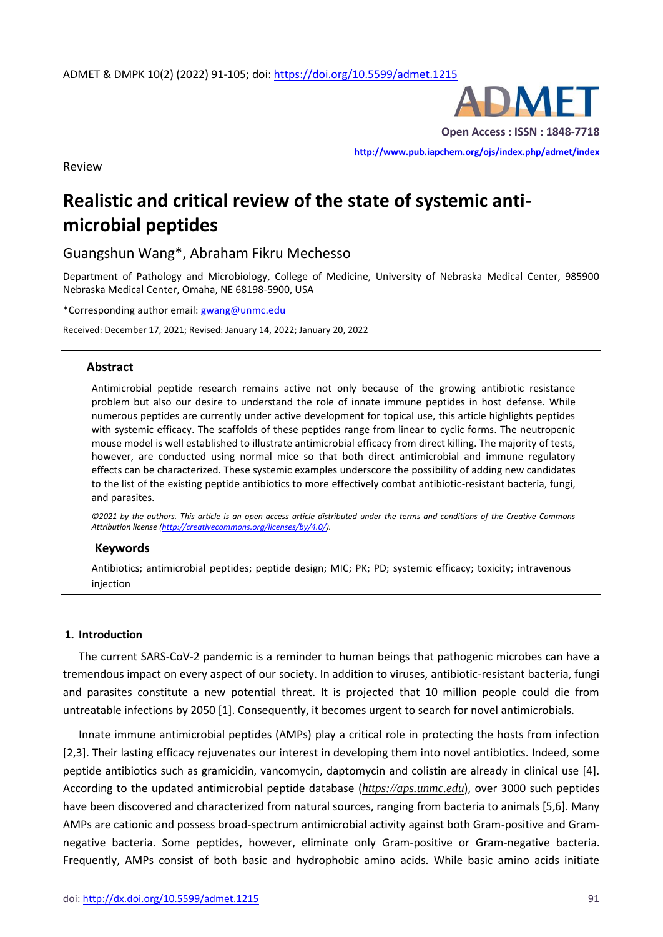

**Open Access : ISSN : 1848-7718**

**<http://www.pub.iapchem.org/ojs/index.php/admet/index>** 

Review

# **Realistic and critical review of the state of systemic antimicrobial peptides**

Guangshun Wang\*, Abraham Fikru Mechesso

Department of Pathology and Microbiology, College of Medicine, University of Nebraska Medical Center, 985900 Nebraska Medical Center, Omaha, NE 68198-5900, USA

\*Corresponding author email[: gwang@unmc.edu](mailto:gwang@unmc.edu)

Received: December 17, 2021; Revised: January 14, 2022; January 20, 2022

### **Abstract**

Antimicrobial peptide research remains active not only because of the growing antibiotic resistance problem but also our desire to understand the role of innate immune peptides in host defense. While numerous peptides are currently under active development for topical use, this article highlights peptides with systemic efficacy. The scaffolds of these peptides range from linear to cyclic forms. The neutropenic mouse model is well established to illustrate antimicrobial efficacy from direct killing. The majority of tests, however, are conducted using normal mice so that both direct antimicrobial and immune regulatory effects can be characterized. These systemic examples underscore the possibility of adding new candidates to the list of the existing peptide antibiotics to more effectively combat antibiotic-resistant bacteria, fungi, and parasites.

*©2021 by the authors. This article is an open-access article distributed under the terms and conditions of the Creative Commons Attribution license [\(http://creativecommons.org/licenses/by/4.0/\)](http://creativecommons.org/licenses/by/4.0/).*

#### **Keywords**

Antibiotics; antimicrobial peptides; peptide design; MIC; PK; PD; systemic efficacy; toxicity; intravenous injection

#### **1. Introduction**

The current SARS-CoV-2 pandemic is a reminder to human beings that pathogenic microbes can have a tremendous impact on every aspect of our society. In addition to viruses, antibiotic-resistant bacteria, fungi and parasites constitute a new potential threat. It is projected that 10 million people could die from untreatable infections by 2050 [1]. Consequently, it becomes urgent to search for novel antimicrobials.

Innate immune antimicrobial peptides (AMPs) play a critical role in protecting the hosts from infection [2,3]. Their lasting efficacy rejuvenates our interest in developing them into novel antibiotics. Indeed, some peptide antibiotics such as gramicidin, vancomycin, daptomycin and colistin are already in clinical use [4]. According to the updated antimicrobial peptide database (*[https://aps.unmc.edu](https://aps.unmc.edu/)*), over 3000 such peptides have been discovered and characterized from natural sources, ranging from bacteria to animals [5,6]. Many AMPs are cationic and possess broad-spectrum antimicrobial activity against both Gram-positive and Gramnegative bacteria. Some peptides, however, eliminate only Gram-positive or Gram-negative bacteria. Frequently, AMPs consist of both basic and hydrophobic amino acids. While basic amino acids initiate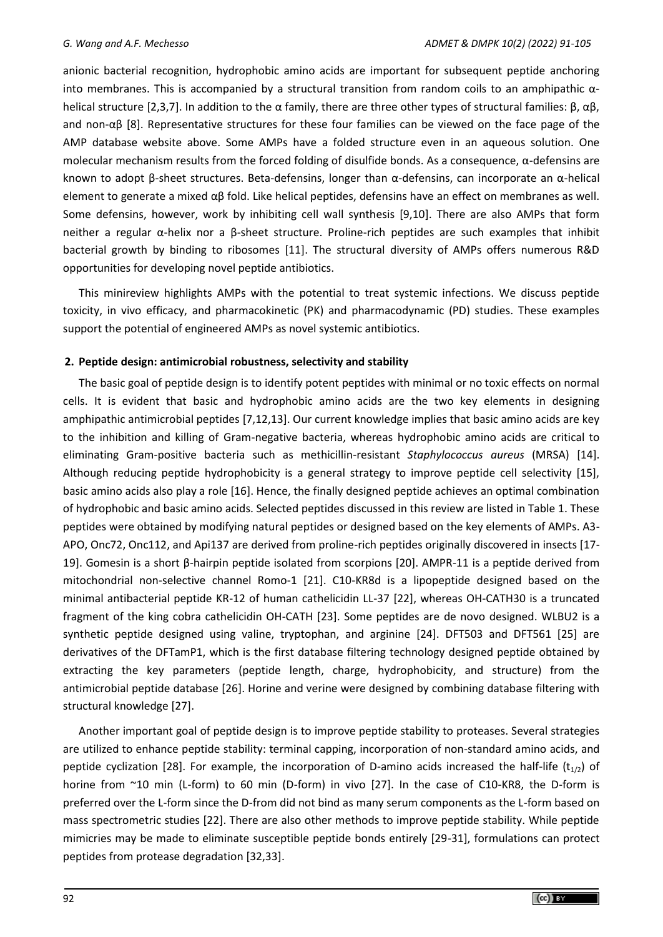anionic bacterial recognition, hydrophobic amino acids are important for subsequent peptide anchoring into membranes. This is accompanied by a structural transition from random coils to an amphipathic  $\alpha$ helical structure [2,3,7]. In addition to the α family, there are three other types of structural families: β, αβ, and non-αβ [8]. Representative structures for these four families can be viewed on the face page of the AMP database website above. Some AMPs have a folded structure even in an aqueous solution. One molecular mechanism results from the forced folding of disulfide bonds. As a consequence, α-defensins are known to adopt β-sheet structures. Beta-defensins, longer than α-defensins, can incorporate an α-helical element to generate a mixed αβ fold. Like helical peptides, defensins have an effect on membranes as well. Some defensins, however, work by inhibiting cell wall synthesis [9,10]. There are also AMPs that form neither a regular α-helix nor a β-sheet structure. Proline-rich peptides are such examples that inhibit bacterial growth by binding to ribosomes [11]. The structural diversity of AMPs offers numerous R&D opportunities for developing novel peptide antibiotics.

This minireview highlights AMPs with the potential to treat systemic infections. We discuss peptide toxicity, in vivo efficacy, and pharmacokinetic (PK) and pharmacodynamic (PD) studies. These examples support the potential of engineered AMPs as novel systemic antibiotics.

# **2. Peptide design: antimicrobial robustness, selectivity and stability**

The basic goal of peptide design is to identify potent peptides with minimal or no toxic effects on normal cells. It is evident that basic and hydrophobic amino acids are the two key elements in designing amphipathic antimicrobial peptides [7,12,13]. Our current knowledge implies that basic amino acids are key to the inhibition and killing of Gram-negative bacteria, whereas hydrophobic amino acids are critical to eliminating Gram-positive bacteria such as methicillin-resistant *Staphylococcus aureus* (MRSA) [14]. Although reducing peptide hydrophobicity is a general strategy to improve peptide cell selectivity [15], basic amino acids also play a role [16]. Hence, the finally designed peptide achieves an optimal combination of hydrophobic and basic amino acids. Selected peptides discussed in this review are listed in Table 1. These peptides were obtained by modifying natural peptides or designed based on the key elements of AMPs. A3- APO, Onc72, Onc112, and Api137 are derived from proline-rich peptides originally discovered in insects [17- 19]. Gomesin is a short β-hairpin peptide isolated from scorpions [20]. AMPR-11 is a peptide derived from mitochondrial non-selective channel Romo-1 [21]. C10-KR8d is a lipopeptide designed based on the minimal antibacterial peptide KR-12 of human cathelicidin LL-37 [22], whereas OH-CATH30 is a truncated fragment of the king cobra cathelicidin OH-CATH [23]. Some peptides are de novo designed. WLBU2 is a synthetic peptide designed using valine, tryptophan, and arginine [24]. DFT503 and DFT561 [25] are derivatives of the DFTamP1, which is the first database filtering technology designed peptide obtained by extracting the key parameters (peptide length, charge, hydrophobicity, and structure) from the antimicrobial peptide database [26]. Horine and verine were designed by combining database filtering with structural knowledge [27].

Another important goal of peptide design is to improve peptide stability to proteases. Several strategies are utilized to enhance peptide stability: terminal capping, incorporation of non-standard amino acids, and peptide cyclization [28]. For example, the incorporation of D-amino acids increased the half-life ( $t_{1/2}$ ) of horine from ~10 min (L-form) to 60 min (D-form) in vivo [27]. In the case of C10-KR8, the D-form is preferred over the L-form since the D-from did not bind as many serum components as the L-form based on mass spectrometric studies [22]. There are also other methods to improve peptide stability. While peptide mimicries may be made to eliminate susceptible peptide bonds entirely [29-31], formulations can protect peptides from protease degradation [32,33].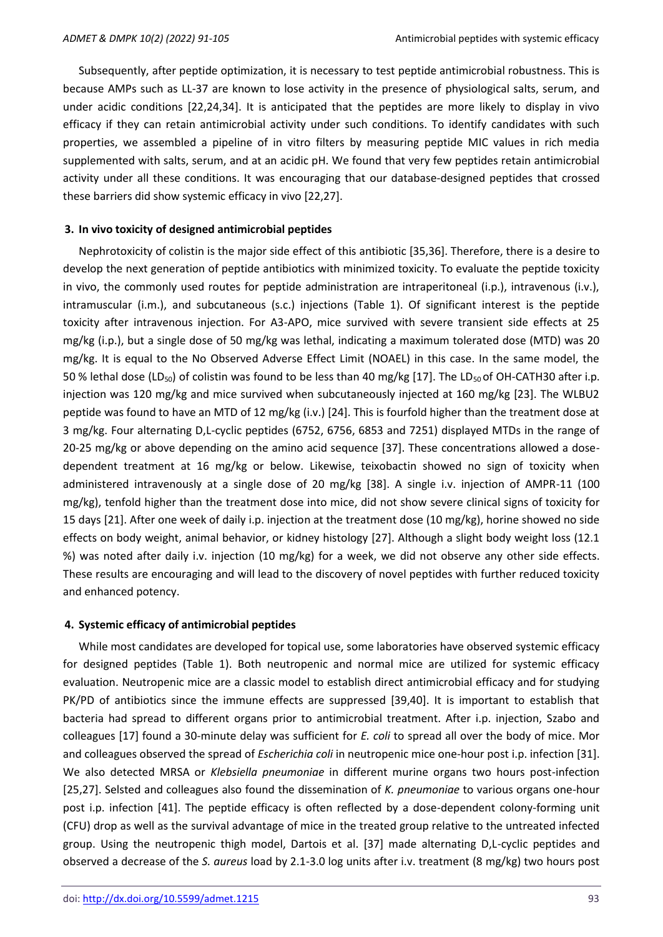Subsequently, after peptide optimization, it is necessary to test peptide antimicrobial robustness. This is because AMPs such as LL-37 are known to lose activity in the presence of physiological salts, serum, and under acidic conditions [22,24,34]. It is anticipated that the peptides are more likely to display in vivo efficacy if they can retain antimicrobial activity under such conditions. To identify candidates with such properties, we assembled a pipeline of in vitro filters by measuring peptide MIC values in rich media supplemented with salts, serum, and at an acidic pH. We found that very few peptides retain antimicrobial activity under all these conditions. It was encouraging that our database-designed peptides that crossed these barriers did show systemic efficacy in vivo [22,27].

### **3. In vivo toxicity of designed antimicrobial peptides**

Nephrotoxicity of colistin is the major side effect of this antibiotic [35,36]. Therefore, there is a desire to develop the next generation of peptide antibiotics with minimized toxicity. To evaluate the peptide toxicity in vivo, the commonly used routes for peptide administration are intraperitoneal (i.p.), intravenous (i.v.), intramuscular (i.m.), and subcutaneous (s.c.) injections (Table 1). Of significant interest is the peptide toxicity after intravenous injection. For A3-APO, mice survived with severe transient side effects at 25 mg/kg (i.p.), but a single dose of 50 mg/kg was lethal, indicating a maximum tolerated dose (MTD) was 20 mg/kg. It is equal to the No Observed Adverse Effect Limit (NOAEL) in this case. In the same model, the 50 % lethal dose (LD<sub>50</sub>) of colistin was found to be less than 40 mg/kg [17]. The LD<sub>50</sub> of OH-CATH30 after i.p. injection was 120 mg/kg and mice survived when subcutaneously injected at 160 mg/kg [23]. The WLBU2 peptide was found to have an MTD of 12 mg/kg (i.v.) [24]. This is fourfold higher than the treatment dose at 3 mg/kg. Four alternating D,L-cyclic peptides (6752, 6756, 6853 and 7251) displayed MTDs in the range of 20-25 mg/kg or above depending on the amino acid sequence [37]. These concentrations allowed a dosedependent treatment at 16 mg/kg or below. Likewise, teixobactin showed no sign of toxicity when administered intravenously at a single dose of 20 mg/kg [38]. A single i.v. injection of AMPR-11 (100 mg/kg), tenfold higher than the treatment dose into mice, did not show severe clinical signs of toxicity for 15 days [21]. After one week of daily i.p. injection at the treatment dose (10 mg/kg), horine showed no side effects on body weight, animal behavior, or kidney histology [27]. Although a slight body weight loss (12.1 %) was noted after daily i.v. injection (10 mg/kg) for a week, we did not observe any other side effects. These results are encouraging and will lead to the discovery of novel peptides with further reduced toxicity and enhanced potency.

#### **4. Systemic efficacy of antimicrobial peptides**

While most candidates are developed for topical use, some laboratories have observed systemic efficacy for designed peptides (Table 1). Both neutropenic and normal mice are utilized for systemic efficacy evaluation. Neutropenic mice are a classic model to establish direct antimicrobial efficacy and for studying PK/PD of antibiotics since the immune effects are suppressed [39,40]. It is important to establish that bacteria had spread to different organs prior to antimicrobial treatment. After i.p. injection, Szabo and colleagues [17] found a 30-minute delay was sufficient for *E. coli* to spread all over the body of mice. Mor and colleagues observed the spread of *Escherichia coli* in neutropenic mice one-hour post i.p. infection [31]. We also detected MRSA or *Klebsiella pneumoniae* in different murine organs two hours post-infection [25,27]. Selsted and colleagues also found the dissemination of *K. pneumoniae* to various organs one-hour post i.p. infection [41]. The peptide efficacy is often reflected by a dose-dependent colony-forming unit (CFU) drop as well as the survival advantage of mice in the treated group relative to the untreated infected group. Using the neutropenic thigh model, Dartois et al. [37] made alternating D,L-cyclic peptides and observed a decrease of the *S. aureus* load by 2.1-3.0 log units after i.v. treatment (8 mg/kg) two hours post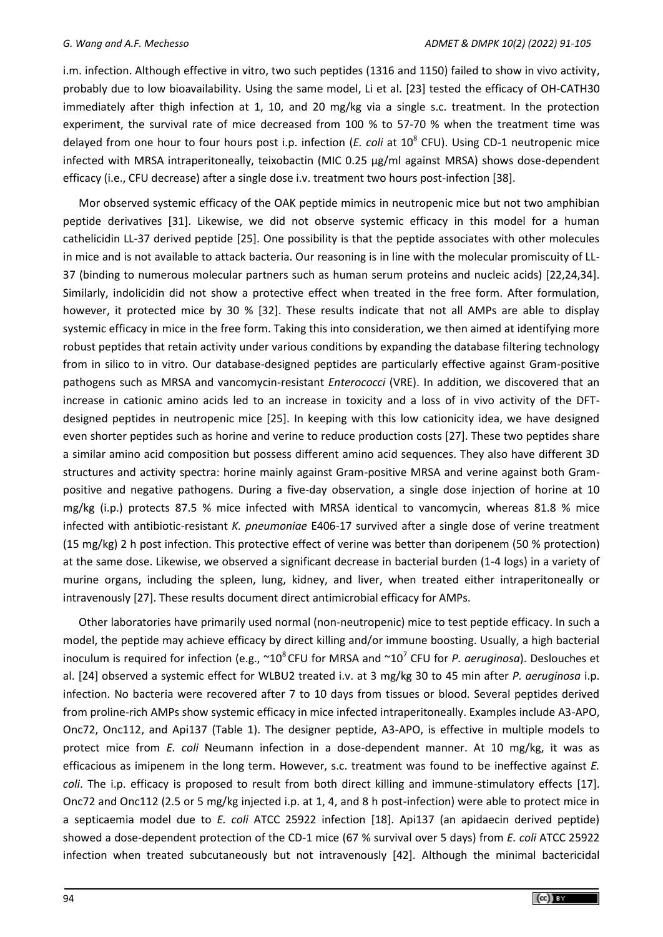i.m. infection. Although effective in vitro, two such peptides (1316 and 1150) failed to show in vivo activity, probably due to low bioavailability. Using the same model, Li et al. [23] tested the efficacy of OH-CATH30 immediately after thigh infection at 1, 10, and 20 mg/kg via a single s.c. treatment. In the protection experiment, the survival rate of mice decreased from 100 % to 57-70 % when the treatment time was delayed from one hour to four hours post i.p. infection (*E. coli* at 10<sup>8</sup> CFU). Using CD-1 neutropenic mice infected with MRSA intraperitoneally, teixobactin (MIC 0.25 µg/ml against MRSA) shows dose-dependent efficacy (i.e., CFU decrease) after a single dose i.v. treatment two hours post-infection [38].

Mor observed systemic efficacy of the OAK peptide mimics in neutropenic mice but not two amphibian peptide derivatives [31]. Likewise, we did not observe systemic efficacy in this model for a human cathelicidin LL-37 derived peptide [25]. One possibility is that the peptide associates with other molecules in mice and is not available to attack bacteria. Our reasoning is in line with the molecular promiscuity of LL-37 (binding to numerous molecular partners such as human serum proteins and nucleic acids) [22,24,34]. Similarly, indolicidin did not show a protective effect when treated in the free form. After formulation, however, it protected mice by 30 % [32]. These results indicate that not all AMPs are able to display systemic efficacy in mice in the free form. Taking this into consideration, we then aimed at identifying more robust peptides that retain activity under various conditions by expanding the database filtering technology from in silico to in vitro. Our database-designed peptides are particularly effective against Gram-positive pathogens such as MRSA and vancomycin-resistant *Enterococci* (VRE). In addition, we discovered that an increase in cationic amino acids led to an increase in toxicity and a loss of in vivo activity of the DFTdesigned peptides in neutropenic mice [25]. In keeping with this low cationicity idea, we have designed even shorter peptides such as horine and verine to reduce production costs [27]. These two peptides share a similar amino acid composition but possess different amino acid sequences. They also have different 3D structures and activity spectra: horine mainly against Gram-positive MRSA and verine against both Grampositive and negative pathogens. During a five-day observation, a single dose injection of horine at 10 mg/kg (i.p.) protects 87.5 % mice infected with MRSA identical to vancomycin, whereas 81.8 % mice infected with antibiotic-resistant *K. pneumoniae* E406-17 survived after a single dose of verine treatment (15 mg/kg) 2 h post infection. This protective effect of verine was better than doripenem (50 % protection) at the same dose. Likewise, we observed a significant decrease in bacterial burden (1-4 logs) in a variety of murine organs, including the spleen, lung, kidney, and liver, when treated either intraperitoneally or intravenously [27]. These results document direct antimicrobial efficacy for AMPs.

Other laboratories have primarily used normal (non-neutropenic) mice to test peptide efficacy. In such a model, the peptide may achieve efficacy by direct killing and/or immune boosting. Usually, a high bacterial inoculum is required for infection (e.g., ~10<sup>8</sup>CFU for MRSA and ~10<sup>7</sup> CFU for *P. aeruginosa*). Deslouches et al. [24] observed a systemic effect for WLBU2 treated i.v. at 3 mg/kg 30 to 45 min after *P. aeruginosa* i.p. infection. No bacteria were recovered after 7 to 10 days from tissues or blood. Several peptides derived from proline-rich AMPs show systemic efficacy in mice infected intraperitoneally. Examples include A3-APO, Onc72, Onc112, and Api137 (Table 1). The designer peptide, A3-APO, is effective in multiple models to protect mice from *E. coli* Neumann infection in a dose-dependent manner. At 10 mg/kg, it was as efficacious as imipenem in the long term. However, s.c. treatment was found to be ineffective against *E. coli*. The i.p. efficacy is proposed to result from both direct killing and immune-stimulatory effects [17]. Onc72 and Onc112 (2.5 or 5 mg/kg injected i.p. at 1, 4, and 8 h post-infection) were able to protect mice in a septicaemia model due to *E. coli* ATCC 25922 infection [18]. Api137 (an apidaecin derived peptide) showed a dose-dependent protection of the CD-1 mice (67 % survival over 5 days) from *E. coli* ATCC 25922 infection when treated subcutaneously but not intravenously [42]. Although the minimal bactericidal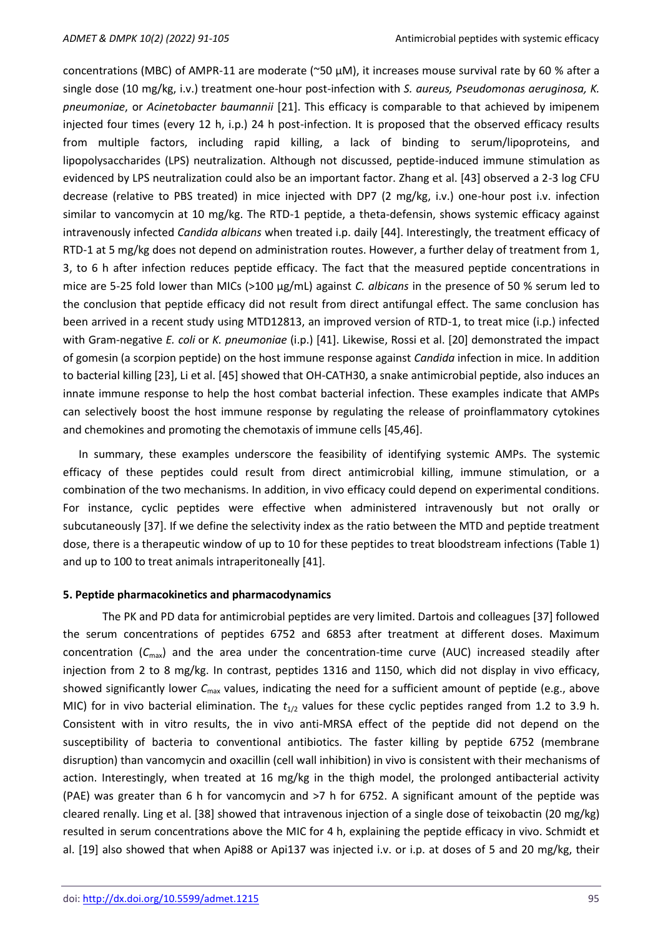concentrations (MBC) of AMPR-11 are moderate (~50 µM), it increases mouse survival rate by 60 % after a single dose (10 mg/kg, i.v.) treatment one-hour post-infection with *S. aureus, Pseudomonas aeruginosa, K. pneumoniae*, or *Acinetobacter baumannii* [21]. This efficacy is comparable to that achieved by imipenem injected four times (every 12 h, i.p.) 24 h post-infection. It is proposed that the observed efficacy results from multiple factors, including rapid killing, a lack of binding to serum/lipoproteins, and lipopolysaccharides (LPS) neutralization. Although not discussed, peptide-induced immune stimulation as evidenced by LPS neutralization could also be an important factor. Zhang et al. [43] observed a 2-3 log CFU decrease (relative to PBS treated) in mice injected with DP7 (2 mg/kg, i.v.) one-hour post i.v. infection similar to vancomycin at 10 mg/kg. The RTD-1 peptide, a theta-defensin, shows systemic efficacy against intravenously infected *Candida albicans* when treated i.p. daily [44]. Interestingly, the treatment efficacy of RTD-1 at 5 mg/kg does not depend on administration routes. However, a further delay of treatment from 1, 3, to 6 h after infection reduces peptide efficacy. The fact that the measured peptide concentrations in mice are 5-25 fold lower than MICs (>100 µg/mL) against *C. albicans* in the presence of 50 % serum led to the conclusion that peptide efficacy did not result from direct antifungal effect. The same conclusion has been arrived in a recent study using MTD12813, an improved version of RTD-1, to treat mice (i.p.) infected with Gram-negative *E. coli* or *K. pneumoniae* (i.p.) [41]. Likewise, Rossi et al. [20] demonstrated the impact of gomesin (a scorpion peptide) on the host immune response against *Candida* infection in mice. In addition to bacterial killing [23], Li et al. [45] showed that OH-CATH30, a snake antimicrobial peptide, also induces an innate immune response to help the host combat bacterial infection. These examples indicate that AMPs can selectively boost the host immune response by regulating the release of proinflammatory cytokines and chemokines and promoting the chemotaxis of immune cells [45,46].

In summary, these examples underscore the feasibility of identifying systemic AMPs. The systemic efficacy of these peptides could result from direct antimicrobial killing, immune stimulation, or a combination of the two mechanisms. In addition, in vivo efficacy could depend on experimental conditions. For instance, cyclic peptides were effective when administered intravenously but not orally or subcutaneously [37]. If we define the selectivity index as the ratio between the MTD and peptide treatment dose, there is a therapeutic window of up to 10 for these peptides to treat bloodstream infections (Table 1) and up to 100 to treat animals intraperitoneally [41].

#### **5. Peptide pharmacokinetics and pharmacodynamics**

The PK and PD data for antimicrobial peptides are very limited. Dartois and colleagues [37] followed the serum concentrations of peptides 6752 and 6853 after treatment at different doses. Maximum concentration  $(C_{\text{max}})$  and the area under the concentration-time curve (AUC) increased steadily after injection from 2 to 8 mg/kg. In contrast, peptides 1316 and 1150, which did not display in vivo efficacy, showed significantly lower *C*max values, indicating the need for a sufficient amount of peptide (e.g., above MIC) for in vivo bacterial elimination. The *t*1/2 values for these cyclic peptides ranged from 1.2 to 3.9 h. Consistent with in vitro results, the in vivo anti-MRSA effect of the peptide did not depend on the susceptibility of bacteria to conventional antibiotics. The faster killing by peptide 6752 (membrane disruption) than vancomycin and oxacillin (cell wall inhibition) in vivo is consistent with their mechanisms of action. Interestingly, when treated at 16 mg/kg in the thigh model, the prolonged antibacterial activity (PAE) was greater than 6 h for vancomycin and >7 h for 6752. A significant amount of the peptide was cleared renally. Ling et al. [38] showed that intravenous injection of a single dose of teixobactin (20 mg/kg) resulted in serum concentrations above the MIC for 4 h, explaining the peptide efficacy in vivo. Schmidt et al. [19] also showed that when Api88 or Api137 was injected i.v. or i.p. at doses of 5 and 20 mg/kg, their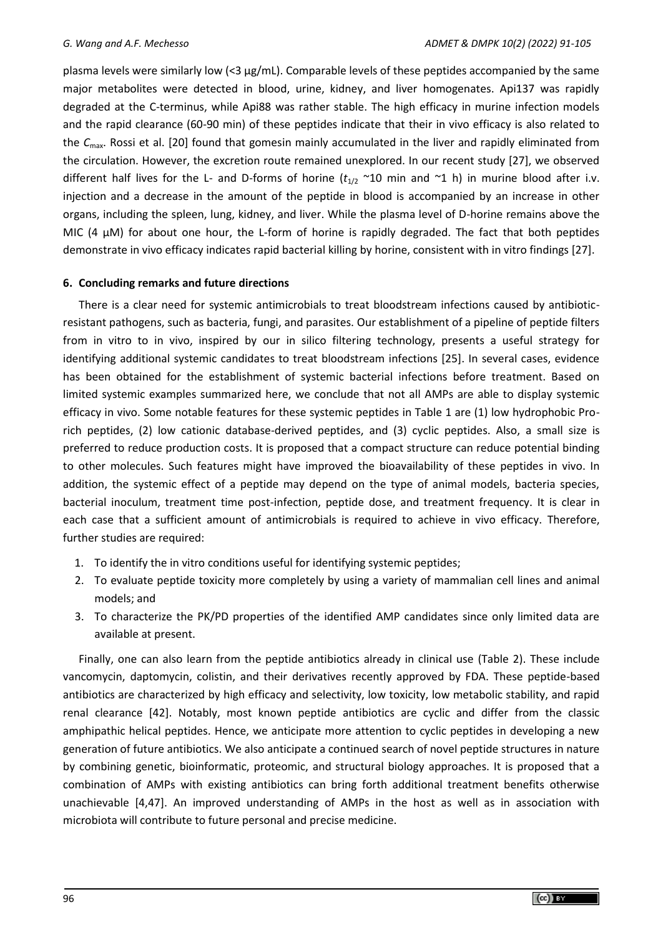plasma levels were similarly low (<3 μg/mL). Comparable levels of these peptides accompanied by the same major metabolites were detected in blood, urine, kidney, and liver homogenates. Api137 was rapidly degraded at the C-terminus, while Api88 was rather stable. The high efficacy in murine infection models and the rapid clearance (60-90 min) of these peptides indicate that their in vivo efficacy is also related to the *C*max. Rossi et al. [20] found that gomesin mainly accumulated in the liver and rapidly eliminated from the circulation. However, the excretion route remained unexplored. In our recent study [27], we observed different half lives for the L- and D-forms of horine  $(t_{1/2}$  ~10 min and ~1 h) in murine blood after i.v. injection and a decrease in the amount of the peptide in blood is accompanied by an increase in other organs, including the spleen, lung, kidney, and liver. While the plasma level of D-horine remains above the MIC (4  $\mu$ M) for about one hour, the L-form of horine is rapidly degraded. The fact that both peptides demonstrate in vivo efficacy indicates rapid bacterial killing by horine, consistent with in vitro findings [27].

# **6. Concluding remarks and future directions**

There is a clear need for systemic antimicrobials to treat bloodstream infections caused by antibioticresistant pathogens, such as bacteria, fungi, and parasites. Our establishment of a pipeline of peptide filters from in vitro to in vivo, inspired by our in silico filtering technology, presents a useful strategy for identifying additional systemic candidates to treat bloodstream infections [25]. In several cases, evidence has been obtained for the establishment of systemic bacterial infections before treatment. Based on limited systemic examples summarized here, we conclude that not all AMPs are able to display systemic efficacy in vivo. Some notable features for these systemic peptides in Table 1 are (1) low hydrophobic Prorich peptides, (2) low cationic database-derived peptides, and (3) cyclic peptides. Also, a small size is preferred to reduce production costs. It is proposed that a compact structure can reduce potential binding to other molecules. Such features might have improved the bioavailability of these peptides in vivo. In addition, the systemic effect of a peptide may depend on the type of animal models, bacteria species, bacterial inoculum, treatment time post-infection, peptide dose, and treatment frequency. It is clear in each case that a sufficient amount of antimicrobials is required to achieve in vivo efficacy. Therefore, further studies are required:

- 1. To identify the in vitro conditions useful for identifying systemic peptides;
- 2. To evaluate peptide toxicity more completely by using a variety of mammalian cell lines and animal models; and
- 3. To characterize the PK/PD properties of the identified AMP candidates since only limited data are available at present.

Finally, one can also learn from the peptide antibiotics already in clinical use (Table 2). These include vancomycin, daptomycin, colistin, and their derivatives recently approved by FDA. These peptide-based antibiotics are characterized by high efficacy and selectivity, low toxicity, low metabolic stability, and rapid renal clearance [42]. Notably, most known peptide antibiotics are cyclic and differ from the classic amphipathic helical peptides. Hence, we anticipate more attention to cyclic peptides in developing a new generation of future antibiotics. We also anticipate a continued search of novel peptide structures in nature by combining genetic, bioinformatic, proteomic, and structural biology approaches. It is proposed that a combination of AMPs with existing antibiotics can bring forth additional treatment benefits otherwise unachievable [4,47]. An improved understanding of AMPs in the host as well as in association with microbiota will contribute to future personal and precise medicine.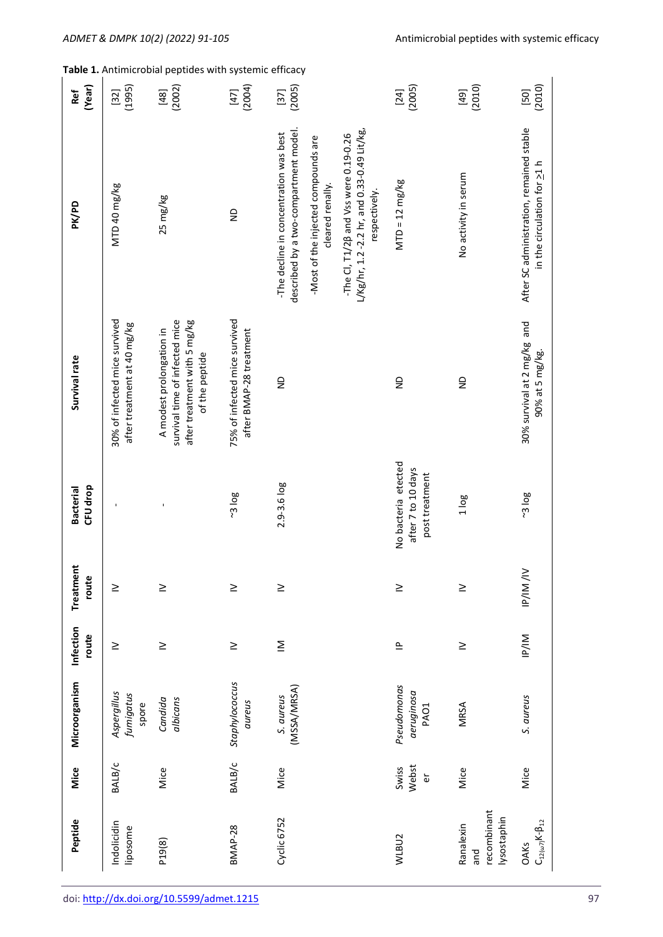| (Year)<br>Ref                | (1995)<br>$[32]$                                             | $[48]$<br>(2002)                                                                                             | $[47]$<br>(2004)                                         | $[37]$<br>(2005)                                                                                                                                                                                                                                       | $[24]$<br>(2005)                                            | $[49]$<br>(2010)                               | (2010)<br>$[50]$                                                        |
|------------------------------|--------------------------------------------------------------|--------------------------------------------------------------------------------------------------------------|----------------------------------------------------------|--------------------------------------------------------------------------------------------------------------------------------------------------------------------------------------------------------------------------------------------------------|-------------------------------------------------------------|------------------------------------------------|-------------------------------------------------------------------------|
| PK/PD                        | MTD 40 mg/kg                                                 | 25 mg/kg                                                                                                     | $\frac{1}{2}$                                            | described by a two-compartment model.<br>$L/Kg/hr$ , 1.2 -2.2 hr, and 0.33-0.49 Lit/kg,<br>-The decline in concentration was best<br>-The CI, T1/2B and Vss were 0.19-0.26<br>-Most of the injected compounds are<br>cleared renally.<br>respectively. | $MTD = 12 \, mg/kg$                                         | No activity in serum                           | After SC administration, remained stable<br>in the circulation for 21 h |
| Survival rate                | 30% of infected mice survived<br>after treatment at 40 mg/kg | survival time of infected mice<br>after treatment with 5 mg/kg<br>A modest prolongation in<br>of the peptide | 75% of infected mice survived<br>after BMAP-28 treatment | $\frac{1}{2}$                                                                                                                                                                                                                                          | $\frac{1}{2}$                                               | $\frac{1}{2}$                                  | 30% survival at 2 mg/kg and<br>90% at 5 mg/kg.                          |
| CFU drop<br><b>Bacterial</b> |                                                              |                                                                                                              | 308                                                      | $2.9 - 3.6 log$                                                                                                                                                                                                                                        | No bacteria etected<br>after 7 to 10 days<br>post treatment | 1 log                                          | 308                                                                     |
| Treatment<br>route           | $\geq$                                                       | $\geq$                                                                                                       | $\geq$                                                   | $\geq$                                                                                                                                                                                                                                                 | $\geq$                                                      | $\geq$                                         | IP/IM/IV                                                                |
| Infection<br>route           | $\geq$                                                       | $\geq$                                                                                                       | $\geq$                                                   | $\overline{\underline{\underline{\underline{\phantom{0}}}}}$                                                                                                                                                                                           | $\equiv$                                                    | $\geq$                                         | IP/IM                                                                   |
| Microorganism                | Aspergillus<br>fumigatus<br>spore                            | albicans<br>Candida                                                                                          | Staphylococcus<br>aureus                                 | (MSSA/MRSA)<br>S. aureus                                                                                                                                                                                                                               | Pseudomonas<br>aeruginosa<br>PAO1                           | MRSA                                           | S. aureus                                                               |
| Mice                         | BALB/C                                                       | Mice                                                                                                         | BALB/c                                                   | Mice                                                                                                                                                                                                                                                   | Webst<br>Swiss<br>$\mathbf{\tilde{e}}$                      | Mice                                           | Mice                                                                    |
| Peptide                      | Indolicidin<br>liposome                                      | P19(8)                                                                                                       | BMAP-28                                                  | Cyclic 6752                                                                                                                                                                                                                                            | WLBU <sub>2</sub>                                           | recombinant<br>lysostaphin<br>Ranalexin<br>pue | $C_{12(\omega7)}K$ -\beta_{12}<br><b>OAKs</b>                           |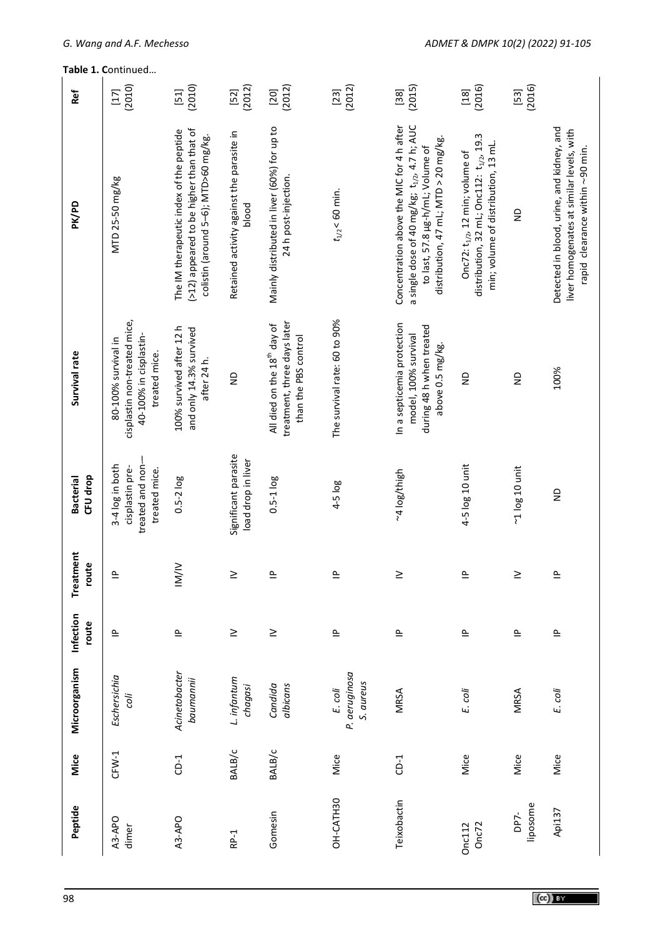| Ref                          | (2010)<br>$[17]$                                                                               | (2010)<br>$[51]$                                                                                                            | (2012)<br>$[52]$                                   | (2012)<br>$[20]$                                                                               | (2012)<br>$[23]$                      | (2015)<br>$[38]$                                                                                                                                                                   | (2016)<br>$[18]$                                                                                                             | (2016)<br>$[53]$                |                                                                                                                           |
|------------------------------|------------------------------------------------------------------------------------------------|-----------------------------------------------------------------------------------------------------------------------------|----------------------------------------------------|------------------------------------------------------------------------------------------------|---------------------------------------|------------------------------------------------------------------------------------------------------------------------------------------------------------------------------------|------------------------------------------------------------------------------------------------------------------------------|---------------------------------|---------------------------------------------------------------------------------------------------------------------------|
| PK/PD                        | MTD 25-50 mg/kg                                                                                | (>12) appeared to be higher than that of<br>The IM therapeutic index of the peptide<br>colistin (around 5-6); MTD>60 mg/kg. | Retained activity against the parasite in<br>blood | Mainly distributed in liver (60%) for up to<br>24 h post-injection.                            | $t_{1/2}$ < 60 min.                   | Concentration above the MIC for 4 h after<br>a single dose of 40 mg/kg; t <sub>1/2</sub> , 4.7 h; AUC<br>distribution, 47 mL; $MTD > 20$ mg/kg<br>to last, 57.8 µg-h/mL; Volume of | distribution, 32 mL; Onc112: $t_{1/2}$ , 19.3<br>min; volume of distribution, 13 mL.<br>Onc72: $t_{1/2}$ , 12 min; volume of | $\frac{1}{2}$                   | Detected in blood, urine, and kidney, and<br>liver homogenates at similar levels, with<br>rapid clearance within ~90 min. |
| Survival rate                | cisplastin non-treated mice,<br>40-100% in cisplastin-<br>80-100% survival in<br>treated mice. | 100% survived after 12 h<br>and only 14.3% survived<br>after 24 h.                                                          | $\frac{1}{2}$                                      | treatment, three days later<br>All died on the 18 <sup>th</sup> day of<br>than the PBS control | The survival rate: 60 to 90%          | In a septicemia protection<br>during 48 h when treated<br>model, 100% survival<br>above 0.5 mg/kg.                                                                                 | $\frac{\Omega}{\Sigma}$                                                                                                      | $\frac{\mathsf{D}}{\mathsf{D}}$ | 100%                                                                                                                      |
| CFU drop<br><b>Bacterial</b> | treated and non-<br>3-4 log in both<br>cisplastin pre-<br>treated mice.                        | $0.5 - 2 log$                                                                                                               | Significant parasite<br>load drop in liver         | $0.5 - 1$ log                                                                                  | 4-5 log                               | ~4 log/thigh                                                                                                                                                                       | 4-5 log 10 unit                                                                                                              | $-1$ $log 10$ unit              | $\infty$                                                                                                                  |
| Treatment<br>route           | $\mathbf{r}$                                                                                   | IM/IV                                                                                                                       | ≥                                                  | $\sim$                                                                                         | ௨                                     | ≥                                                                                                                                                                                  | Δ                                                                                                                            | ≥                               | ௨                                                                                                                         |
| Infection<br>route           | 으                                                                                              | $\triangleq$                                                                                                                | $\geq$                                             | $\geq$                                                                                         | $\triangleq$                          | $\equiv$                                                                                                                                                                           | $\triangleq$                                                                                                                 | $\triangleq$                    | $\equiv$                                                                                                                  |
| Microorganism                | Eschersichia<br>coli                                                                           | Acinetobacter<br>baumannii                                                                                                  | L. infantum<br>chagasi                             | Candida<br>albicans                                                                            | P. aeruginosa<br>S. aureus<br>E. coli | MRSA                                                                                                                                                                               | E. coli                                                                                                                      | MRSA                            | E. coli                                                                                                                   |
| Mice                         | $CFW-1$                                                                                        | $CD-1$                                                                                                                      | BALB/c                                             | BALB/C                                                                                         | Mice                                  | $CD-1$                                                                                                                                                                             | Mice                                                                                                                         | Mice                            | Mice                                                                                                                      |
| Peptide                      | A3-APO<br>dimer                                                                                | A3-APO                                                                                                                      | RP-1                                               | Gomesin                                                                                        | OH-CATH30                             | Teixobactin                                                                                                                                                                        | Onc <sub>72</sub><br><b>Onc112</b>                                                                                           | liposome<br>DP7-                | Api137                                                                                                                    |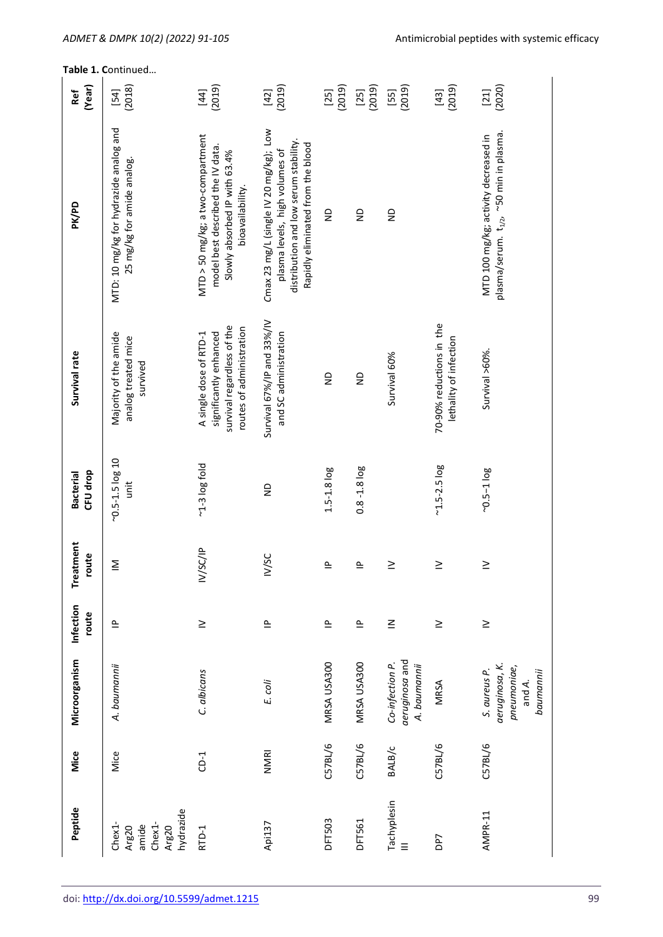**Table 1. C**ontinued…

| (Year)<br>Ref                | (2018)<br>$[54]$                                                     | (2019)<br>$[44]$                                                                                                            | (2019)<br>$[42]$                                                                                                                                       | (2019)<br>$[25]$  | (2019)<br>$[25]$  | (2019)<br>$[55]$                                  | (2019)<br>$[43]$                                   | (2020)<br>$[21]$                                                                            |
|------------------------------|----------------------------------------------------------------------|-----------------------------------------------------------------------------------------------------------------------------|--------------------------------------------------------------------------------------------------------------------------------------------------------|-------------------|-------------------|---------------------------------------------------|----------------------------------------------------|---------------------------------------------------------------------------------------------|
| PK/PD                        | MTD: 10 mg/kg for hydrazide analog and<br>25 mg/kg for amide analog. | MTD > 50 mg/kg; a two-compartment<br>model best described the IV data.<br>Slowly absorbed IP with 63.4%<br>bioavailability. | Cmax 23 mg/L (single IV 20 mg/kg); Low<br>distribution and low serum stability.<br>Rapidly eliminated from the blood<br>plasma levels, high volumes of | $\frac{1}{2}$     | $\frac{1}{2}$     | $\frac{1}{2}$                                     |                                                    | plasma/serum. t <sub>1/2</sub> , ~50 min in plasma.<br>MTD 100 mg/kg; activity decreased in |
| Survival rate                | Majority of the amide<br>analog treated mice<br>survived             | survival regardless of the<br>routes of administration<br>significantly enhanced<br>A single dose of RTD-1                  | Survival 67%/IP and 33%/IV<br>and SC administration                                                                                                    | $\frac{1}{2}$     | $\frac{1}{2}$     | Survival 60%                                      | 70-90% reductions in the<br>lethality of infection | Survival >60%.                                                                              |
| CFU drop<br><b>Bacterial</b> | ~ $0.5 - 1.5 \log 10$<br>unit                                        | $-1-3$ log fold                                                                                                             | $\frac{1}{2}$                                                                                                                                          | $1.5 - 1.8$ $log$ | $0.8 - 1.8$ $log$ |                                                   | $-1.5 - 2.5$ log                                   | $-0.5-1$ log                                                                                |
| Treatment<br>route           | Σ                                                                    | IV/SC/IP                                                                                                                    | IV/SC                                                                                                                                                  | $\cong$           | $\cong$           | $\geq$                                            | $\geq$                                             | $\geq$                                                                                      |
| Infection<br>route           | $\triangleq$                                                         | $\geq$                                                                                                                      | $\triangleq$                                                                                                                                           | $\triangleq$      | $\cong$           | $\leq$                                            | $\geq$                                             | $\geq$                                                                                      |
| Microorganism                | A. baumannii                                                         | C. albicans                                                                                                                 | E. coli                                                                                                                                                | MRSA USA300       | MRSA USA300       | aeruginosa and<br>Co-infection P.<br>A. baumannii | <b>MRSA</b>                                        | aeruginosa, K.<br>pneumoniae,<br>S. aureus P.<br>baumannii<br>and A.                        |
| Mice                         | Mice                                                                 | $CD-1$                                                                                                                      | NMRI                                                                                                                                                   | C57BL/6           | C57BL/6           | BALB/c                                            | C57BL/6                                            | C57BL/6                                                                                     |
| Peptide                      | hydrazide<br>Chex1-<br>Chex1-<br>amide<br>Arg20<br>Arg20             | RTD-1                                                                                                                       | Api137                                                                                                                                                 | <b>DFT503</b>     | <b>DFT561</b>     | Tachyplesin                                       | DP7                                                | AMPR-11                                                                                     |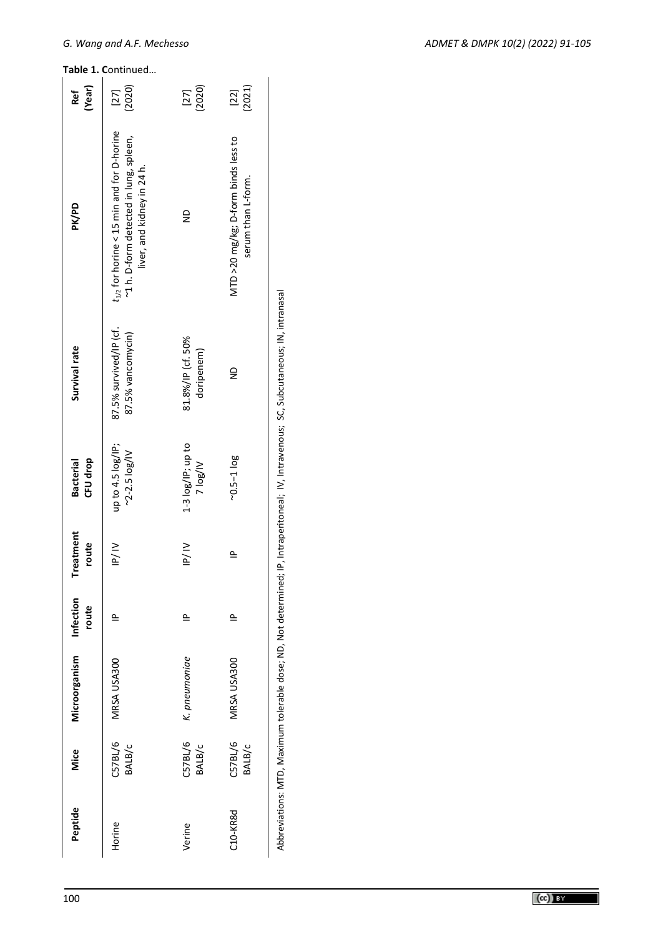| (Year)<br>Ref                | (2020)<br>$[27]$                                                                                                       | $[27]$<br>$(2020)$                 | $[22]$<br>$(2021)$                                        |
|------------------------------|------------------------------------------------------------------------------------------------------------------------|------------------------------------|-----------------------------------------------------------|
| DK/PD                        | $t_{1/2}$ for horine < 15 min and for D-horine<br>~1 h. D-form detected in lung, spleen,<br>liver, and kidney in 24 h. | $\frac{1}{2}$                      | MTD >20 mg/kg; D-form binds less to<br>serum than L-form. |
| Survival rate                | 87.5% survived/IP (cf.<br>87.5% vancomycin)                                                                            | 81.8%/IP (cf. 50%<br>doripenem)    | $\frac{1}{2}$                                             |
| CFU drop<br><b>Bacterial</b> | up to 4.5 log/IP;<br>$~2 - 2.5$ $log/V$                                                                                | $1-3$ $log/IP$ ; up to<br>VI/301 Z | $-0.5 - 1 \log$                                           |
| Treatment<br>route           | $\frac{1}{10}$                                                                                                         | $\frac{1}{2}$                      | 으                                                         |
| Infection<br>route           | $\equiv$                                                                                                               | $\triangle$                        | $\triangle$                                               |
| Microorganism                | MRSA USA300                                                                                                            | K. pneumoniae                      | MRSA USA300                                               |
| Mice                         | C57BL/6<br>BALB/c                                                                                                      | C57BL/6<br>BALB/c                  | C57BL/6<br>BALB/c                                         |
| Peptide                      | Horine                                                                                                                 | Verine                             | C10-KR8d                                                  |

Abbreviations: MTD, Maximum tolerable dose; ND, Not determined; IP, Intraperitoneal; IV, Intravenous; SC, Subcutaneous; IN, intranasal Abbreviations: MTD, Maximum tolerable dose; ND, Not determined; IP, Intraperitoneal; IV, Intravenous; SC, Subcutaneous; IN, intranasal

# $G.$  Wang and A.F. Mechesso

**Table 1. C**ontinued…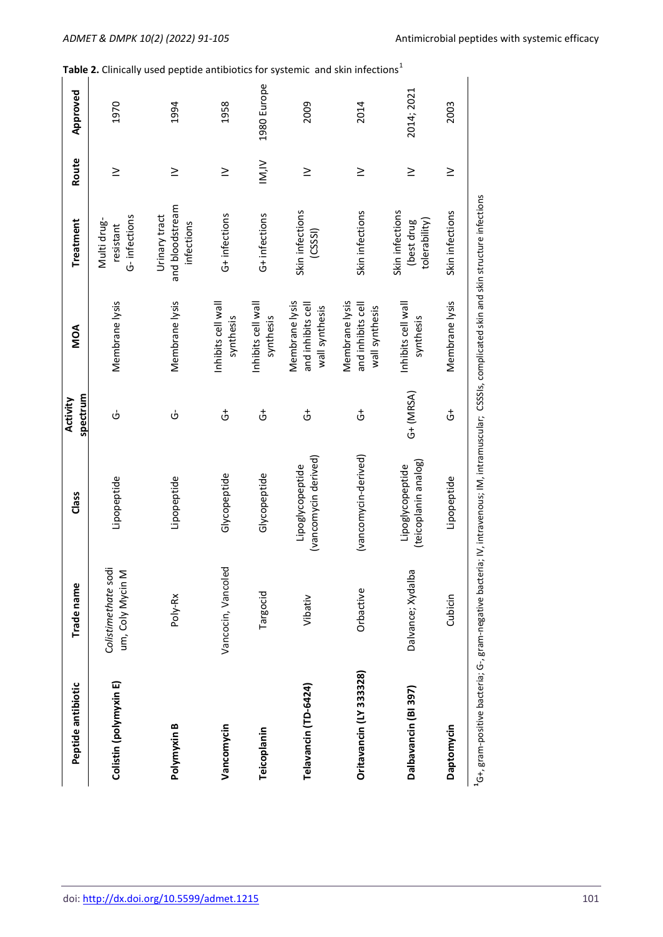| Peptide antibiotic      | Trade name                              | Class                                    |
|-------------------------|-----------------------------------------|------------------------------------------|
| Colistin (polymyxin E)  | Colistimethate sodi<br>um, Coly Mycin M | Lipopeptide                              |
| Polymyxin B             | Poly-Rx                                 | Lipopeptide                              |
| Vancomycin              | Vancocin, Vancoled                      | Glycopeptide                             |
| Teicoplanin             | Targocid                                | Glycopeptide                             |
| Telavancin (TD-6424)    | Vibativ                                 | (vancomycin derivec<br>Lipoglycopeptide  |
| Oritavancin (LY 333328) | Orbactive                               | (vancomycin-derived)                     |
| Dalbavancin (BI 397)    | Dalvance; Xydalba                       | (teicoplanin analog)<br>Lipoglycopeptide |

| Peptide antibiotic      | Trade name                              | Class                                    | spectrum<br>Activity | MOA                                                   | Treatment                                      | Route  |
|-------------------------|-----------------------------------------|------------------------------------------|----------------------|-------------------------------------------------------|------------------------------------------------|--------|
| Colistin (polymyxin E)  | Colistimethate sodi<br>um, Coly Mycin M | Lipopeptide                              | ပ                    | Membrane lysis                                        | G-infections<br>Multi drug-<br>resistant       | $\geq$ |
| Polymyxin B             | Poly-Rx                                 | Lipopeptide                              | φ                    | Membrane lysis                                        | and bloodstream<br>Urinary tract<br>infections | $\geq$ |
| Vancomycin              | Vancocin, Vancoled                      | Glycopeptide                             | $\vec{c}$            | Inhibits cell wall<br>synthesis                       | G+ infections                                  | $\geq$ |
| Teicoplanin             | Targocid                                | Glycopeptide                             | $\vec{c}$            | Inhibits cell wall<br>synthesis                       | G+ infections                                  | M,N    |
| Telavancin (TD-6424)    | Vibativ                                 | (vancomycin derived)<br>Lipoglycopeptide | $\vec{c}$            | Membrane lysis<br>and inhibits cell<br>wall synthesis | Skin infections<br>(CSSI)                      | $\geq$ |
| Oritavancin (LY 333328) | Orbactive                               | (vancomycin-derived)                     | $\vec{5}$            | Membrane lysis<br>and inhibits cell<br>wall synthesis | Skin infections                                | $\geq$ |
| Dalbavancin (BI 397)    | Dalvance; Xydalba                       | (teicoplanin analog)<br>Lipoglycopeptide | $G+$ (MRSA)          | Inhibits cell wall<br>synthesis                       | Skin infections<br>tolerability)<br>(best drug | $\geq$ |
| Daptomycin              | Cubicin                                 | Lipopeptide                              | $\vec{c}$            | Membrane lysis                                        | Skin infections                                | $\geq$ |

**Approved<br>1970**<br>1994<br>1958 1958<br>1980 Europe

2014; 2021

2003

**1**G+, gram-positive bacteria; G-, gram-negative bacteria; IV, intravenous; IM, intramuscular; CSSSIs, complicated skin and skin structure infections

<sup>1</sup>G+, gram-positive bacteria; G-, gram-negative bacteria; IV, intravenous; IM, intramuscular; CSSSIs, complicated skin and skin structure infections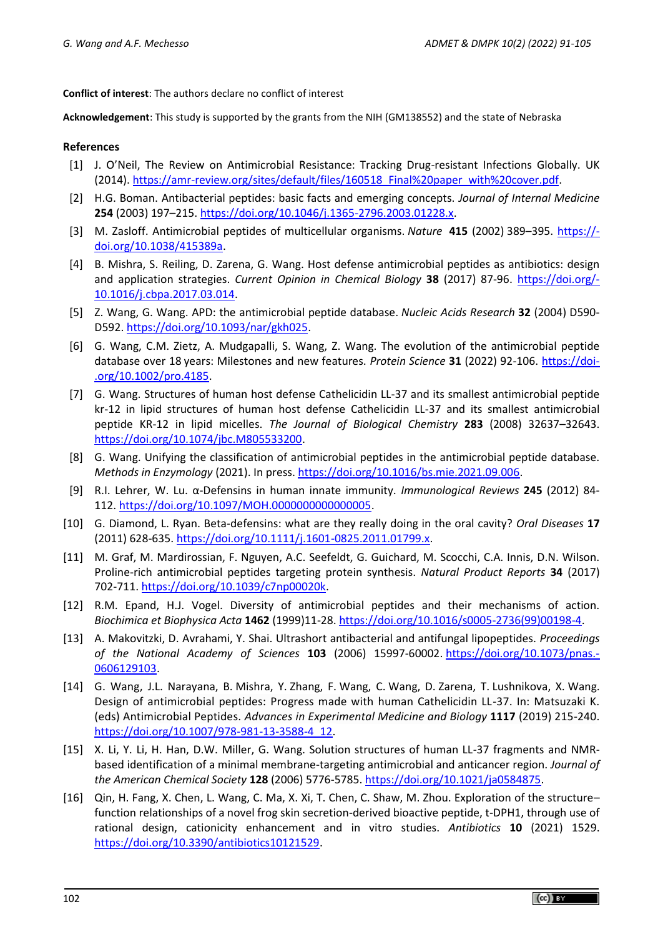**Conflict of interest**: The authors declare no conflict of interest

**Acknowledgement**: This study is supported by the grants from the NIH (GM138552) and the state of Nebraska

# **References**

- [1] J. O'Neil, The Review on Antimicrobial Resistance: Tracking Drug-resistant Infections Globally. UK (2014). [https://amr-review.org/sites/default/files/160518\\_Final%20paper\\_with%20cover.pdf.](https://amr-review.org/sites/default/files/160518_Final%20paper_with%20cover.pdf)
- [2] H.G. [Boman.](https://onlinelibrary.wiley.com/action/doSearch?ContribAuthorRaw=Boman%2C+H+G) Antibacterial peptides: basic facts and emerging concepts. *Journal of Internal Medicine* **254** (2003) 197–215. [https://doi.org/10.1046/j.1365-2796.2003.01228.x.](https://doi.org/10.1046/j.1365-2796.2003.01228.x)
- [3] M. Zasloff. Antimicrobial peptides of multicellular organisms. *Nature* **415** (2002) 389–395. [https://](https://doi.org/10.1038/415389a) [doi.org/10.1038/415389a.](https://doi.org/10.1038/415389a)
- [4] B. Mishra, S. Reiling, D. Zarena, G. Wang. Host defense antimicrobial peptides as antibiotics: design and application strategies. *Current Opinion in Chemical Biology* **38** (2017) 87-96. [https://doi.org/-](https://doi.org/10.1016/j.cbpa.2017.03.014) [10.1016/j.cbpa.2017.03.014.](https://doi.org/10.1016/j.cbpa.2017.03.014)
- [5] Z. Wang, G. Wang. APD: the antimicrobial peptide database. *Nucleic Acids Research* **32** (2004) D590- D592. [https://doi.org/10.1093/nar/gkh025.](https://doi.org/10.1093/nar/gkh025)
- [6] G. Wang, C.M. Zietz, A. Mudgapalli, S. Wang, Z. Wang. The evolution of the antimicrobial peptide database over 18 years: Milestones and new features. *Protein Science* **31** (2022) 92-106. [https://doi-](https://doi.org/10.1002/pro.4185) [.org/10.1002/pro.4185.](https://doi.org/10.1002/pro.4185)
- [7] G. Wang. Structures of human host defense Cathelicidin LL-37 and its smallest antimicrobial peptide kr-12 in lipid structures of human host defense Cathelicidin LL-37 and its smallest antimicrobial peptide KR-12 in lipid micelles. *The Journal of Biological Chemistry* **283** (2008) 32637–32643. [https://doi.org/10.1074/jbc.M805533200.](https://doi.org/10.1074/jbc.M805533200)
- [8] G. Wang. Unifying the classification of antimicrobial peptides in the antimicrobial peptide database. *Methods in Enzymology* (2021). In press. [https://doi.org/10.1016/bs.mie.2021.09.006.](https://doi.org/10.1016/bs.mie.2021.09.006)
- [9] R.I. Lehrer, W. Lu. α-Defensins in human innate immunity. *Immunological Reviews* **245** (2012) 84- 112. [https://doi.org/10.1097/MOH.0000000000000005.](https://doi.org/10.1097/MOH.0000000000000005)
- [10] G. Diamond, L. Ryan. Beta-defensins: what are they really doing in the oral cavity? *Oral Diseases* **17** (2011) 628-635. [https://doi.org/10.1111/j.1601-0825.2011.01799.x.](https://doi.org/10.1111/j.1601-0825.2011.01799.x)
- [11] M. Graf, M. Mardirossian, F. Nguyen, A.C. Seefeldt, G. Guichard, M. Scocchi, C.A. Innis, D.N. Wilson. Proline-rich antimicrobial peptides targeting protein synthesis. *Natural Product Reports* **34** (2017) 702-711. [https://doi.org/10.1039/c7np00020k.](https://doi.org/10.1039/c7np00020k)
- [12] R.M. Epand, H.J. Vogel. Diversity of antimicrobial peptides and their mechanisms of action. *Biochimica et Biophysica Acta* **1462** (1999)11-28. [https://doi.org/10.1016/s0005-2736\(99\)00198-4.](https://doi.org/10.1016/s0005-2736(99)00198-4)
- [13] A. Makovitzki, D. Avrahami, Y. Shai. Ultrashort antibacterial and antifungal lipopeptides. *Proceedings of the National Academy of Sciences* **103** (2006) 15997-60002. [https://doi.org/10.1073/pnas.-](https://doi.org/10.1073/pnas.0606129103) [0606129103.](https://doi.org/10.1073/pnas.0606129103)
- [14] G. Wang, J.L. Narayana, B. Mishra, Y. Zhang, F. Wang, C. Wang, D. Zarena, T. Lushnikova, X. Wang. Design of antimicrobial peptides: Progress made with human Cathelicidin LL-37. In: Matsuzaki K. (eds) Antimicrobial Peptides. *Advances in Experimental Medicine and Biology* **1117** (2019) 215-240. [https://doi.org/10.1007/978-981-13-3588-4\\_12.](https://doi.org/10.1007/978-981-13-3588-4_12)
- [15] X. Li, Y. Li, H. Han, D.W. Miller, G. Wang. Solution structures of human LL-37 fragments and NMRbased identification of a minimal membrane-targeting antimicrobial and anticancer region. *Journal of the American Chemical Society* **128** (2006) 5776-5785. [https://doi.org/10.1021/ja0584875.](https://doi.org/10.1021/ja0584875)
- [16] Qin, H. Fang, X. Chen, L. Wang, C. Ma, X. Xi, T. Chen, C. Shaw, M. Zhou. Exploration of the structure– function relationships of a novel frog skin secretion-derived bioactive peptide, t-DPH1, through use of rational design, cationicity enhancement and in vitro studies. *Antibiotics* **10** (2021) 1529. [https://doi.org/10.3390/antibiotics10121529.](https://doi.org/10.3390/antibiotics10121529)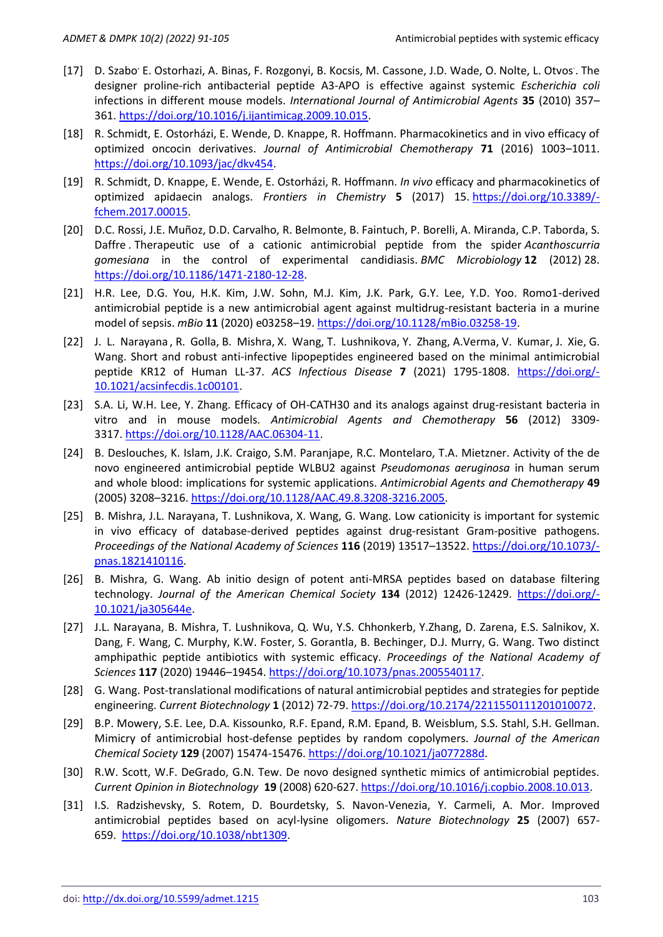- [17] [D. Szabo](https://www.sciencedirect.com/science/article/abs/pii/S0924857909004907?via%3Dihub#!)' [E. Ostorhazi,](https://www.sciencedirect.com/science/article/abs/pii/S0924857909004907?via%3Dihub#!) [A. Binas, F. Rozgonyi,](https://www.sciencedirect.com/science/article/abs/pii/S0924857909004907?via%3Dihub#!) [B. Kocsis,](https://www.sciencedirect.com/science/article/abs/pii/S0924857909004907?via%3Dihub#!) [M. Cassone, J.D. Wade,](https://www.sciencedirect.com/science/article/abs/pii/S0924857909004907?via%3Dihub#!) [O. Nolte, L. Otvos](https://www.sciencedirect.com/science/article/abs/pii/S0924857909004907?via%3Dihub#!) . The designer proline-rich antibacterial peptide A3-APO is effective against systemic *Escherichia coli* infections in different mouse models. *International Journal of Antimicrobial Agents* **35** (2010) 357– 361. [https://doi.org/10.1016/j.ijantimicag.2009.10.015.](https://doi.org/10.1016/j.ijantimicag.2009.10.015)
- [18] R. Schmidt, E. Ostorházi, E. Wende, D. Knappe, R. Hoffmann. Pharmacokinetics and in vivo efficacy of optimized oncocin derivatives. *Journal of Antimicrobial Chemotherapy* **71** (2016) 1003–1011. [https://doi.org/10.1093/jac/dkv454.](https://doi.org/10.1093/jac/dkv454)
- [19] R. Schmidt, D. Knappe, E. Wende, E. Ostorházi, R. Hoffmann. *In vivo* efficacy and pharmacokinetics of optimized apidaecin analogs. *Frontiers in Chemistry* **5** (2017) 15. [https://doi.org/10.3389/](https://doi.org/10.3389/fchem.2017.00015) [fchem.2017.00015.](https://doi.org/10.3389/fchem.2017.00015)
- [20] D.C. Rossi, J.E. Muñoz, D.D. Carvalho, [R. Belmonte,](https://bmcmicrobiol.biomedcentral.com/articles/10.1186/1471-2180-12-28#auth-Rodrigo-Belmonte) [B. Faintuch,](https://bmcmicrobiol.biomedcentral.com/articles/10.1186/1471-2180-12-28#auth-Bluma-Faintuch) [P. Borelli,](https://bmcmicrobiol.biomedcentral.com/articles/10.1186/1471-2180-12-28#auth-Primavera-Borelli) [A. Miranda,](https://bmcmicrobiol.biomedcentral.com/articles/10.1186/1471-2180-12-28#auth-Antonio-Miranda) [C.P. Taborda,](https://bmcmicrobiol.biomedcentral.com/articles/10.1186/1471-2180-12-28#auth-Carlos_P-Taborda) [S.](https://bmcmicrobiol.biomedcentral.com/articles/10.1186/1471-2180-12-28#auth-Sirlei-Daffre)  [Daffre](https://bmcmicrobiol.biomedcentral.com/articles/10.1186/1471-2180-12-28#auth-Sirlei-Daffre) *.* Therapeutic use of a cationic antimicrobial peptide from the spider *Acanthoscurria gomesiana* in the control of experimental candidiasis. *BMC Microbiology* **12** (2012) 28. [https://doi.org/10.1186/1471-2180-12-28.](https://doi.org/10.1186/1471-2180-12-28)
- [21] H.R. Lee, D.G. You, H.K. Kim, J.W. Sohn, M.J. Kim, J.K. Park, G.Y. Lee, Y.D. Yoo. Romo1-derived antimicrobial peptide is a new antimicrobial agent against multidrug-resistant bacteria in a murine model of sepsis. *mBio* **11** (2020) e03258–19. [https://doi.org/10.1128/mBio.03258-19.](https://doi.org/10.1128/mBio.03258-19)
- [22] [J. L. Narayana](https://pubmed.ncbi.nlm.nih.gov/?term=Lakshmaiah+Narayana+J&cauthor_id=33890759) , [R. Golla,](https://pubmed.ncbi.nlm.nih.gov/?term=Golla+R&cauthor_id=33890759) [B. Mishra,](https://pubmed.ncbi.nlm.nih.gov/?term=Mishra+B&cauthor_id=33890759) [X. Wang,](https://pubmed.ncbi.nlm.nih.gov/?term=Wang+X&cauthor_id=33890759) [T. Lushnikova,](https://pubmed.ncbi.nlm.nih.gov/?term=Lushnikova+T&cauthor_id=33890759) [Y. Zhang,](https://pubmed.ncbi.nlm.nih.gov/?term=Zhang+Y&cauthor_id=33890759) [A.Verma,](https://pubmed.ncbi.nlm.nih.gov/?term=Verma+A&cauthor_id=33890759) [V. Kumar,](https://pubmed.ncbi.nlm.nih.gov/?term=Kumar+V&cauthor_id=33890759) [J. Xie,](https://pubmed.ncbi.nlm.nih.gov/?term=Xie+J&cauthor_id=33890759) [G.](https://pubmed.ncbi.nlm.nih.gov/?term=Wang+G&cauthor_id=33890759)  [Wang.](https://pubmed.ncbi.nlm.nih.gov/?term=Wang+G&cauthor_id=33890759) Short and robust anti-infective lipopeptides engineered based on the minimal antimicrobial peptide KR12 of Human LL-37. *ACS Infectious Disease* **7** (2021) 1795-1808. [https://doi.org/-](https://doi.org/10.1021/acsinfecdis.1c00101) [10.1021/acsinfecdis.1c00101.](https://doi.org/10.1021/acsinfecdis.1c00101)
- [23] S.A. Li, W.H. Lee, Y. Zhang. Efficacy of OH-CATH30 and its analogs against drug-resistant bacteria in vitro and in mouse models. *Antimicrobial Agents and Chemotherapy* **56** (2012) 3309- 3317. [https://doi.org/10.1128/AAC.06304-11.](https://doi.org/10.1128/AAC.06304-11)
- [24] B. Deslouches, K. Islam, J.K. Craigo, S.M. Paranjape, R.C. Montelaro, T.A. Mietzner. Activity of the de novo engineered antimicrobial peptide WLBU2 against *Pseudomonas aeruginosa* in human serum and whole blood: implications for systemic applications. *Antimicrobial Agents and Chemotherapy* **49** (2005) 3208–3216. [https://doi.org/10.1128/AAC.49.8.3208-3216.2005.](https://doi.org/10.1128/AAC.49.8.3208-3216.2005)
- [25] B. Mishra, J.L. Narayana, T. Lushnikova, X. Wang, G. Wang. Low cationicity is important for systemic in vivo efficacy of database-derived peptides against drug-resistant Gram-positive pathogens. *Proceedings of the National Academy of Sciences* **116** (2019) 13517–13522. [https://doi.org/10.1073/](https://doi.org/10.1073/pnas.1821410116) [pnas.1821410116.](https://doi.org/10.1073/pnas.1821410116)
- [26] B. Mishra, G. Wang. Ab initio design of potent anti-MRSA peptides based on database filtering technology. *Journal of the American Chemical Society* **134** (2012) 12426-12429. [https://doi.org/-](https://doi.org/10.1021/ja305644e) [10.1021/ja305644e.](https://doi.org/10.1021/ja305644e)
- [27] J.L. Narayana, B. Mishra, T. Lushnikova, Q. Wu, Y.S. Chhonkerb, Y.Zhang, D. Zarena, E.S. Salnikov, X. Dang, F. Wang, C. Murphy, K.W. Foster, S. Gorantla, B. Bechinger, D.J. Murry, G. Wang. Two distinct amphipathic peptide antibiotics with systemic efficacy. *Proceedings of the National Academy of Sciences* **117** (2020) 19446–19454. [https://doi.org/10.1073/pnas.2005540117.](https://doi.org/10.1073/pnas.2005540117)
- [28] G. Wang. Post-translational modifications of natural antimicrobial peptides and strategies for peptide engineering. *Current Biotechnology* **1** (2012) 72-79. [https://doi.org/10.2174/2211550111201010072.](https://doi.org/10.2174/2211550111201010072)
- [29] B.P. Mowery, S.E. Lee, D.A. Kissounko, R.F. Epand, R.M. Epand, B. Weisblum, S.S. Stahl, S.H. Gellman. Mimicry of antimicrobial host-defense peptides by random copolymers. *Journal of the American Chemical Society* **129** (2007) 15474-15476. [https://doi.org/10.1021/ja077288d.](https://doi.org/10.1021/ja077288d)
- [30] R.W. Scott, W.F. DeGrado, G.N. Tew. De novo designed synthetic mimics of antimicrobial peptides. *[Current Opinion in Biotechnology](https://www.sciencedirect.com/journal/current-opinion-in-biotechnology)* **19** (2008) 620-627. [https://doi.org/10.1016/j.copbio.2008.10.013.](https://doi.org/10.1016/j.copbio.2008.10.013)
- [31] I.S. Radzishevsky, S. Rotem, D. Bourdetsky, S. Navon-Venezia, Y. Carmeli, A. Mor. Improved antimicrobial peptides based on acyl-lysine oligomers. *Nature Biotechnology* **25** (2007) 657- 659. [https://doi.org/10.1038/nbt1309.](https://doi.org/10.1038/nbt1309)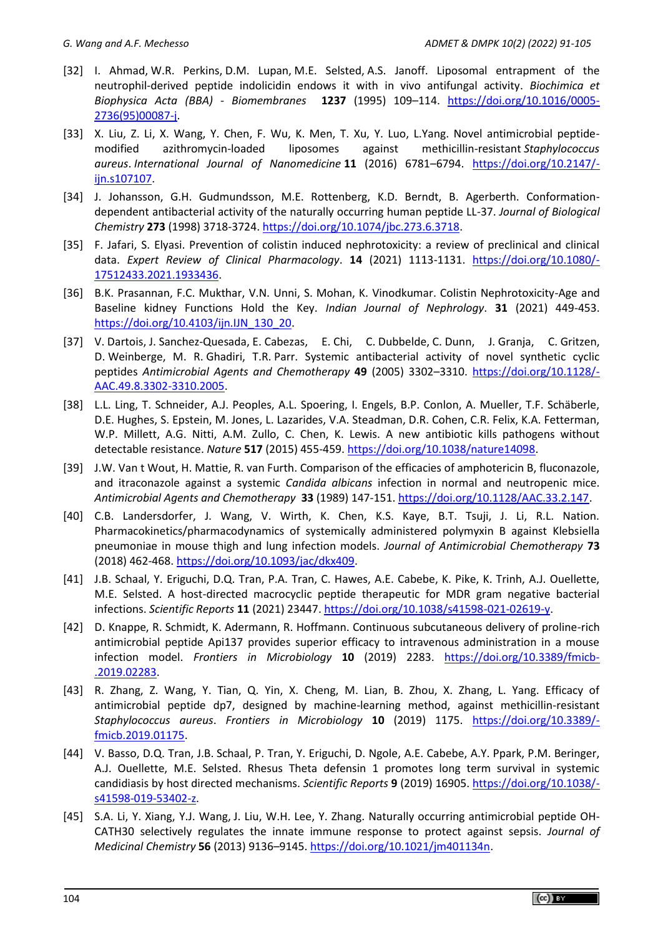- [32] I. [Ahmad,](https://www.infona.pl/contributor/0@bwmeta1.element.elsevier-b57cf62a-4dc7-38e6-9d67-a703605403d0/tab/publications) W.R. [Perkins,](https://www.infona.pl/contributor/1@bwmeta1.element.elsevier-b57cf62a-4dc7-38e6-9d67-a703605403d0/tab/publications) D.M. [Lupan,](https://www.infona.pl/contributor/2@bwmeta1.element.elsevier-b57cf62a-4dc7-38e6-9d67-a703605403d0/tab/publications) M.E. [Selsted,](https://www.infona.pl/contributor/3@bwmeta1.element.elsevier-b57cf62a-4dc7-38e6-9d67-a703605403d0/tab/publications) A.S. [Janoff.](https://www.infona.pl/contributor/4@bwmeta1.element.elsevier-b57cf62a-4dc7-38e6-9d67-a703605403d0/tab/publications) Liposomal entrapment of the neutrophil-derived peptide indolicidin endows it with in vivo antifungal activity. *[Biochimica et](https://www.sciencedirect.com/science/journal/00052736)  [Biophysica Acta \(BBA\) -](https://www.sciencedirect.com/science/journal/00052736) Biomembranes* **1237** (1995) 109–114. [https://doi.org/10.1016/0005-](https://doi.org/10.1016/0005-2736(95)00087-j) [2736\(95\)00087-j.](https://doi.org/10.1016/0005-2736(95)00087-j)
- [33] X. Liu, Z. Li, X. Wang, Y. Chen, F. Wu, K. Men, T. Xu, Y. Luo, L.Yang. Novel antimicrobial peptidemodified azithromycin-loaded liposomes against methicillin-resistant *Staphylococcus aureus*. *International Journal of Nanomedicine* **11** (2016) 6781–6794. [https://doi.org/10.2147/](https://doi.org/10.2147/ijn.s107107) [ijn.s107107.](https://doi.org/10.2147/ijn.s107107)
- [34] J. Johansson, G.H. Gudmundsson, M.E. Rottenberg, K.D. Berndt, B. Agerberth. Conformationdependent antibacterial activity of the naturally occurring human peptide LL-37. *Journal of Biological Chemistry* **273** (1998) 3718-3724. [https://doi.org/10.1074/jbc.273.6.3718.](https://doi.org/10.1074/jbc.273.6.3718)
- [35] F. Jafari, S. Elyasi. Prevention of colistin induced nephrotoxicity: a review of preclinical and clinical data. *Expert Review of Clinical Pharmacology*. **14** (2021) 1113-1131. [https://doi.org/10.1080/-](https://doi.org/10.1080/17512433.2021.1933436) [17512433.2021.1933436.](https://doi.org/10.1080/17512433.2021.1933436)
- [36] B.K. Prasannan, F.C. Mukthar, V.N. Unni, S. Mohan, K. Vinodkumar. Colistin Nephrotoxicity-Age and Baseline kidney Functions Hold the Key. *Indian Journal of Nephrology*. **31** (2021) 449-453. [https://doi.org/10.4103/ijn.IJN\\_130\\_20.](https://doi.org/10.4103/ijn.IJN_130_20)
- [37] V. Dartois, J. Sanchez-Quesada, E. Cabezas, E. Chi, C. Dubbelde, C. Dunn, J. Granja, C. Gritzen, D. Weinberge, M. R. Ghadiri, T.R. Parr. Systemic antibacterial activity of novel synthetic cyclic peptides *Antimicrobial Agents and Chemotherapy* **49** (2005) 3302–3310. [https://doi.org/10.1128/-](https://doi.org/10.1128/AAC.49.8.3302-3310.2005) [AAC.49.8.3302-3310.2005.](https://doi.org/10.1128/AAC.49.8.3302-3310.2005)
- [38] L.L. Ling, T. Schneider, A.J. Peoples, A.L. Spoering, I. Engels, B.P. Conlon, A. Mueller, T.F. Schäberle, D.E. Hughes, S. Epstein, M. Jones, L. Lazarides, V.A. Steadman, D.R. Cohen, C.R. Felix, K.A. Fetterman, W.P. Millett, A.G. Nitti, A.M. Zullo, C. Chen, K. Lewis. A new antibiotic kills pathogens without detectable resistance. *Nature* **517** (2015) 455-459. [https://doi.org/10.1038/nature14098.](https://doi.org/10.1038/nature14098)
- [39] J.W. Van t Wout, H. Mattie, R. van Furth. Comparison of the efficacies of amphotericin B, fluconazole, and itraconazole against a systemic *Candida albicans* infection in normal and neutropenic mice. *Antimicrobial Agents and Chemotherapy* **33** (1989) 147-151. [https://doi.org/10.1128/AAC.33.2.147.](https://doi.org/10.1128/AAC.33.2.147)
- [40] C.B. Landersdorfer, J. Wang, V. Wirth, K. Chen, K.S. Kaye, B.T. Tsuji, J. Li, R.L. Nation. Pharmacokinetics/pharmacodynamics of systemically administered polymyxin B against Klebsiella pneumoniae in mouse thigh and lung infection models. *Journal of Antimicrobial Chemotherapy* **73** (2018) 462-468. [https://doi.org/10.1093/jac/dkx409.](https://doi.org/10.1093/jac/dkx409)
- [41] J.B. Schaal, Y. Eriguchi, D.Q. Tran, P.A. Tran, C. Hawes, A.E. Cabebe, K. Pike, K. Trinh, A.J. Ouellette, M.E. Selsted. A host-directed macrocyclic peptide therapeutic for MDR gram negative bacterial infections. *Scientific Reports* **11** (2021) 23447. [https://doi.org/10.1038/s41598-021-02619-y.](https://doi.org/10.1038/s41598-021-02619-y)
- [42] D. Knappe, R. Schmidt, K. Adermann, R. Hoffmann. Continuous subcutaneous delivery of proline-rich antimicrobial peptide Api137 provides superior efficacy to intravenous administration in a mouse infection model. *Frontiers in Microbiology* **10** (2019) 2283. [https://doi.org/10.3389/fmicb-](https://doi.org/10.3389/fmicb.2019.02283) [.2019.02283.](https://doi.org/10.3389/fmicb.2019.02283)
- [43] R. Zhang, Z. Wang, Y. Tian, Q. Yin, X. Cheng, M. Lian, B. Zhou, X. Zhang, L. Yang. Efficacy of antimicrobial peptide dp7, designed by machine-learning method, against methicillin-resistant *Staphylococcus aureus*. *Frontiers in Microbiology* **10** (2019) 1175. [https://doi.org/10.3389/](https://doi.org/10.3389/fmicb.2019.01175) [fmicb.2019.01175.](https://doi.org/10.3389/fmicb.2019.01175)
- [44] V. Basso, D.Q. Tran, J.B. Schaal, P. Tran, Y. Eriguchi, D. Ngole, A.E. Cabebe, A.Y. Ppark, P.M. Beringer, A.J. Ouellette, M.E. Selsted. Rhesus Theta defensin 1 promotes long term survival in systemic candidiasis by host directed mechanisms. *Scientific Reports* **9** (2019) 16905. [https://doi.org/10.1038/](https://doi.org/10.1038/s41598-019-53402-z) [s41598-019-53402-z.](https://doi.org/10.1038/s41598-019-53402-z)
- [45] [S.A. Li,](https://pubs.acs.org/action/doSearch?field1=Contrib&text1=Sheng-An++Li) [Y. Xiang,](https://pubs.acs.org/action/doSearch?field1=Contrib&text1=Yang++Xiang) [Y.J. Wang,](https://pubs.acs.org/action/doSearch?field1=Contrib&text1=Yan-Jie++Wang) [J. Liu,](https://pubs.acs.org/action/doSearch?field1=Contrib&text1=Jie++Liu) [W.H. Lee,](https://pubs.acs.org/action/doSearch?field1=Contrib&text1=Wen-Hui++Lee) [Y. Zhang.](https://pubs.acs.org/action/doSearch?field1=Contrib&text1=Yun++Zhang) Naturally occurring antimicrobial peptide OH-CATH30 selectively regulates the innate immune response to protect against sepsis. *Journal of Medicinal Chemistry* **56** (2013) 9136–9145. [https://doi.org/10.1021/jm401134n.](https://doi.org/10.1021/jm401134n)